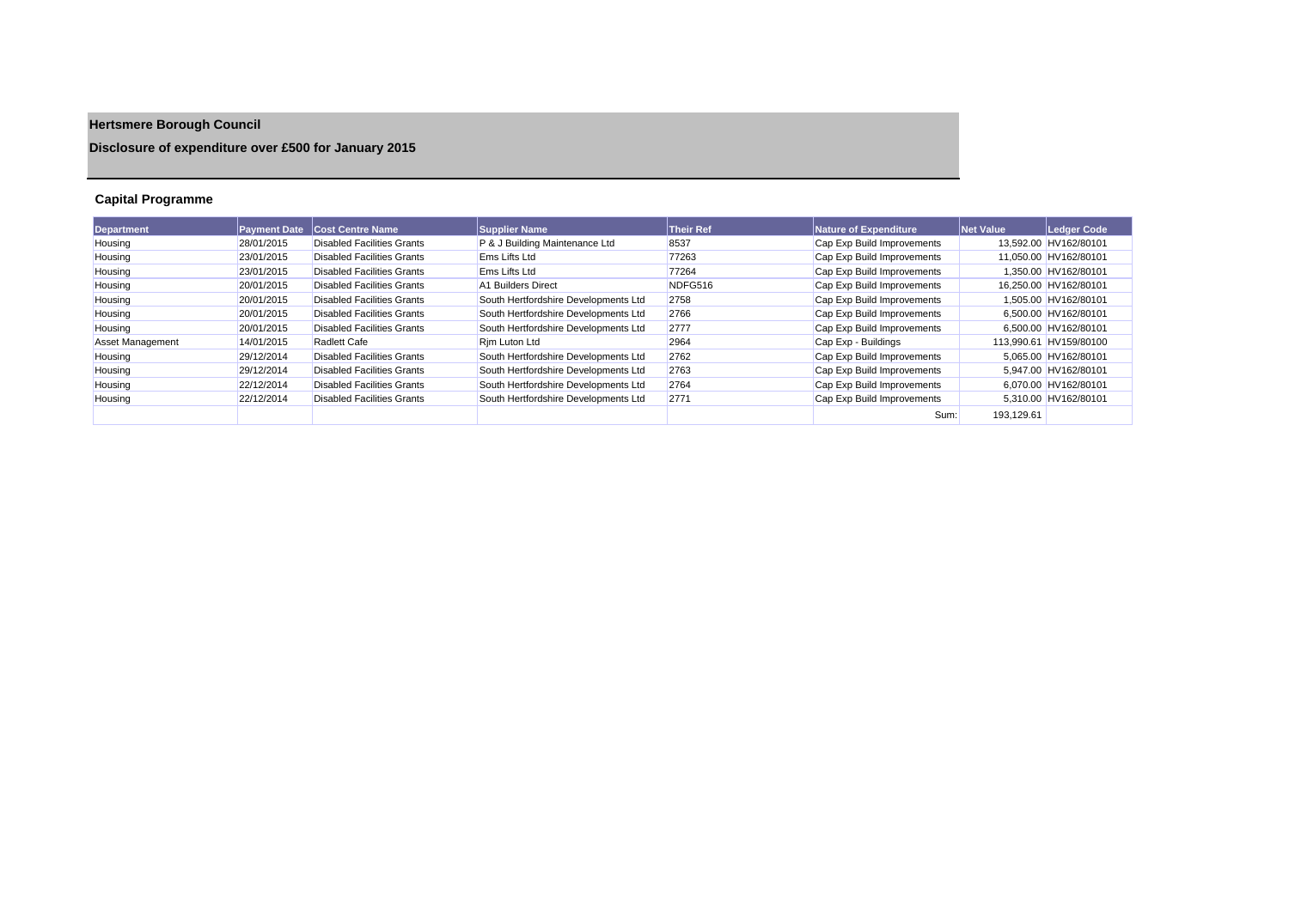# **Hertsmere Borough Council**

## **Disclosure of expenditure over £500 for January 2015**

## **Capital Programme**

| <b>Department</b>       | <b>Payment Date</b> | <b>Cost Centre Name</b>           | <b>Supplier Name</b>                 | <b>Their Ref</b> | Nature of Expenditure      | <b>Net Value</b> | Ledger Code            |
|-------------------------|---------------------|-----------------------------------|--------------------------------------|------------------|----------------------------|------------------|------------------------|
| Housing                 | 28/01/2015          | Disabled Facilities Grants        | P & J Building Maintenance Ltd       | 8537             | Cap Exp Build Improvements |                  | 13.592.00 HV162/80101  |
| Housing                 | 23/01/2015          | <b>Disabled Facilities Grants</b> | <b>Ems Lifts Ltd</b>                 | 77263            | Cap Exp Build Improvements |                  | 11,050.00 HV162/80101  |
| Housing                 | 23/01/2015          | Disabled Facilities Grants        | Ems Lifts Ltd                        | 77264            | Cap Exp Build Improvements |                  | 1.350.00 HV162/80101   |
| Housing                 | 20/01/2015          | Disabled Facilities Grants        | A1 Builders Direct                   | NDFG516          | Cap Exp Build Improvements |                  | 16.250.00 HV162/80101  |
| Housing                 | 20/01/2015          | Disabled Facilities Grants        | South Hertfordshire Developments Ltd | 2758             | Cap Exp Build Improvements |                  | 1.505.00 HV162/80101   |
| Housing                 | 20/01/2015          | Disabled Facilities Grants        | South Hertfordshire Developments Ltd | 2766             | Cap Exp Build Improvements |                  | 6.500.00 HV162/80101   |
| Housing                 | 20/01/2015          | Disabled Facilities Grants        | South Hertfordshire Developments Ltd | 2777             | Cap Exp Build Improvements |                  | 6.500.00 HV162/80101   |
| <b>Asset Management</b> | 14/01/2015          | <b>Radlett Cafe</b>               | Rim Luton Ltd                        | 2964             | Cap Exp - Buildings        |                  | 113.990.61 HV159/80100 |
| Housing                 | 29/12/2014          | Disabled Facilities Grants        | South Hertfordshire Developments Ltd | 2762             | Cap Exp Build Improvements |                  | 5.065.00 HV162/80101   |
| Housing                 | 29/12/2014          | Disabled Facilities Grants        | South Hertfordshire Developments Ltd | 2763             | Cap Exp Build Improvements |                  | 5.947.00 HV162/80101   |
| Housing                 | 22/12/2014          | Disabled Facilities Grants        | South Hertfordshire Developments Ltd | 2764             | Cap Exp Build Improvements |                  | 6,070.00 HV162/80101   |
| Housing                 | 22/12/2014          | Disabled Facilities Grants        | South Hertfordshire Developments Ltd | 2771             | Cap Exp Build Improvements |                  | 5.310.00 HV162/80101   |
|                         |                     |                                   |                                      |                  | Sum:                       | 193.129.61       |                        |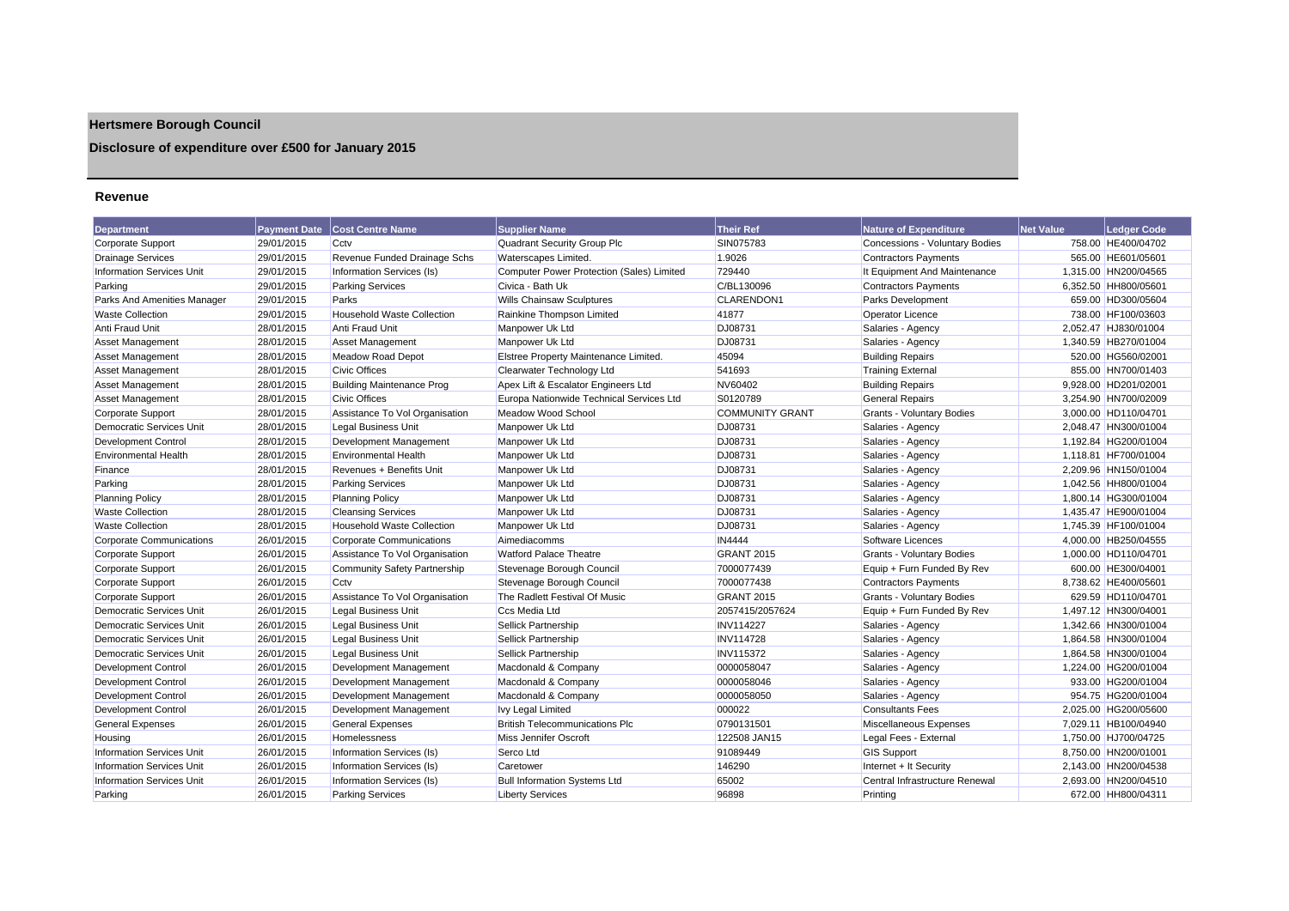## **Hertsmere Borough Council**

## **Disclosure of expenditure over £500 for January 2015**

#### **Revenue**

| <b>Department</b>                | <b>Payment Date</b> | <b>Cost Centre Name</b>           | <b>Supplier Name</b>                      | <b>Their Ref</b>       | Nature of Expenditure                 | <b>Net Value</b> | Ledger Code          |
|----------------------------------|---------------------|-----------------------------------|-------------------------------------------|------------------------|---------------------------------------|------------------|----------------------|
| Corporate Support                | 29/01/2015          | Cctv                              | Quadrant Security Group Plc               | SIN075783              | <b>Concessions - Voluntary Bodies</b> |                  | 758.00 HE400/04702   |
| <b>Drainage Services</b>         | 29/01/2015          | Revenue Funded Drainage Schs      | Waterscapes Limited.                      | 1.9026                 | <b>Contractors Payments</b>           |                  | 565.00 HE601/05601   |
| <b>Information Services Unit</b> | 29/01/2015          | Information Services (Is)         | Computer Power Protection (Sales) Limited | 729440                 | It Equipment And Maintenance          |                  | 1,315.00 HN200/04565 |
| Parking                          | 29/01/2015          | <b>Parking Services</b>           | Civica - Bath Uk                          | C/BL130096             | <b>Contractors Payments</b>           |                  | 6,352.50 HH800/05601 |
| Parks And Amenities Manager      | 29/01/2015          | Parks                             | <b>Wills Chainsaw Sculptures</b>          | <b>CLARENDON1</b>      | Parks Development                     |                  | 659.00 HD300/05604   |
| <b>Waste Collection</b>          | 29/01/2015          | <b>Household Waste Collection</b> | Rainkine Thompson Limited                 | 41877                  | <b>Operator Licence</b>               |                  | 738.00 HF100/03603   |
| <b>Anti Fraud Unit</b>           | 28/01/2015          | <b>Anti Fraud Unit</b>            | Manpower Uk Ltd                           | DJ08731                | Salaries - Agency                     |                  | 2.052.47 HJ830/01004 |
| Asset Management                 | 28/01/2015          | <b>Asset Management</b>           | Manpower Uk Ltd                           | DJ08731                | Salaries - Agency                     |                  | 1,340.59 HB270/01004 |
| <b>Asset Management</b>          | 28/01/2015          | <b>Meadow Road Depot</b>          | Elstree Property Maintenance Limited.     | 45094                  | <b>Building Repairs</b>               |                  | 520.00 HG560/02001   |
| <b>Asset Management</b>          | 28/01/2015          | <b>Civic Offices</b>              | Clearwater Technology Ltd                 | 541693                 | <b>Training External</b>              |                  | 855.00 HN700/01403   |
| Asset Management                 | 28/01/2015          | <b>Building Maintenance Prog</b>  | Apex Lift & Escalator Engineers Ltd       | NV60402                | <b>Building Repairs</b>               |                  | 9,928.00 HD201/02001 |
| <b>Asset Management</b>          | 28/01/2015          | <b>Civic Offices</b>              | Europa Nationwide Technical Services Ltd  | S0120789               | <b>General Repairs</b>                |                  | 3,254.90 HN700/02009 |
| Corporate Support                | 28/01/2015          | Assistance To Vol Organisation    | Meadow Wood School                        | <b>COMMUNITY GRANT</b> | <b>Grants - Voluntary Bodies</b>      |                  | 3.000.00 HD110/04701 |
| Democratic Services Unit         | 28/01/2015          | <b>Legal Business Unit</b>        | Manpower Uk Ltd                           | <b>DJ08731</b>         | Salaries - Agency                     |                  | 2,048.47 HN300/01004 |
| Development Control              | 28/01/2015          | Development Management            | Manpower Uk Ltd                           | DJ08731                | Salaries - Agency                     |                  | 1,192.84 HG200/01004 |
| <b>Environmental Health</b>      | 28/01/2015          | <b>Environmental Health</b>       | Manpower Uk Ltd                           | DJ08731                | Salaries - Agency                     |                  | 1.118.81 HF700/01004 |
| Finance                          | 28/01/2015          | Revenues + Benefits Unit          | Manpower Uk Ltd                           | <b>DJ08731</b>         | Salaries - Agency                     |                  | 2.209.96 HN150/01004 |
| Parking                          | 28/01/2015          | <b>Parking Services</b>           | Manpower Uk Ltd                           | <b>DJ08731</b>         | Salaries - Agency                     |                  | 1.042.56 HH800/01004 |
| <b>Planning Policy</b>           | 28/01/2015          | <b>Planning Policy</b>            | Manpower Uk Ltd                           | DJ08731                | Salaries - Agency                     |                  | 1,800.14 HG300/01004 |
| <b>Waste Collection</b>          | 28/01/2015          | <b>Cleansing Services</b>         | Manpower Uk Ltd                           | DJ08731                | Salaries - Agency                     |                  | 1,435.47 HE900/01004 |
| <b>Waste Collection</b>          | 28/01/2015          | <b>Household Waste Collection</b> | Manpower Uk Ltd                           | DJ08731                | Salaries - Agency                     |                  | 1,745.39 HF100/01004 |
| <b>Corporate Communications</b>  | 26/01/2015          | <b>Corporate Communications</b>   | Aimediacomms                              | <b>IN4444</b>          | Software Licences                     |                  | 4,000.00 HB250/04555 |
| Corporate Support                | 26/01/2015          | Assistance To Vol Organisation    | <b>Watford Palace Theatre</b>             | <b>GRANT 2015</b>      | <b>Grants - Voluntary Bodies</b>      |                  | 1,000.00 HD110/04701 |
| <b>Corporate Support</b>         | 26/01/2015          | Community Safety Partnership      | Stevenage Borough Council                 | 7000077439             | Equip + Furn Funded By Rev            |                  | 600.00 HE300/04001   |
| Corporate Support                | 26/01/2015          | Cctv                              | Stevenage Borough Council                 | 7000077438             | <b>Contractors Payments</b>           |                  | 8,738.62 HE400/05601 |
| Corporate Support                | 26/01/2015          | Assistance To Vol Organisation    | The Radlett Festival Of Music             | <b>GRANT 2015</b>      | <b>Grants - Voluntary Bodies</b>      |                  | 629.59 HD110/04701   |
| <b>Democratic Services Unit</b>  | 26/01/2015          | <b>Legal Business Unit</b>        | Ccs Media Ltd                             | 2057415/2057624        | Equip + Furn Funded By Rev            |                  | 1.497.12 HN300/04001 |
| <b>Democratic Services Unit</b>  | 26/01/2015          | Legal Business Unit               | <b>Sellick Partnership</b>                | <b>INV114227</b>       | Salaries - Agency                     |                  | 1,342.66 HN300/01004 |
| Democratic Services Unit         | 26/01/2015          | <b>Legal Business Unit</b>        | Sellick Partnership                       | <b>INV114728</b>       | Salaries - Agency                     |                  | 1,864.58 HN300/01004 |
| Democratic Services Unit         | 26/01/2015          | <b>Legal Business Unit</b>        | Sellick Partnership                       | <b>INV115372</b>       | Salaries - Agency                     |                  | 1,864.58 HN300/01004 |
| <b>Development Control</b>       | 26/01/2015          | Development Management            | Macdonald & Company                       | 0000058047             | Salaries - Agency                     |                  | 1,224.00 HG200/01004 |
| Development Control              | 26/01/2015          | Development Management            | Macdonald & Company                       | 0000058046             | Salaries - Agency                     |                  | 933.00 HG200/01004   |
| Development Control              | 26/01/2015          | Development Management            | Macdonald & Company                       | 0000058050             | Salaries - Agency                     |                  | 954.75 HG200/01004   |
| Development Control              | 26/01/2015          | Development Management            | Ivy Legal Limited                         | 000022                 | <b>Consultants Fees</b>               |                  | 2,025.00 HG200/05600 |
| <b>General Expenses</b>          | 26/01/2015          | <b>General Expenses</b>           | <b>British Telecommunications Plc</b>     | 0790131501             | Miscellaneous Expenses                |                  | 7,029.11 HB100/04940 |
| Housing                          | 26/01/2015          | <b>Homelessness</b>               | Miss Jennifer Oscroft                     | 122508 JAN15           | Legal Fees - External                 |                  | 1.750.00 HJ700/04725 |
| <b>Information Services Unit</b> | 26/01/2015          | Information Services (Is)         | Serco Ltd                                 | 91089449               | <b>GIS Support</b>                    |                  | 8,750.00 HN200/01001 |
| <b>Information Services Unit</b> | 26/01/2015          | Information Services (Is)         | Caretower                                 | 146290                 | Internet + It Security                |                  | 2,143.00 HN200/04538 |
| <b>Information Services Unit</b> | 26/01/2015          | Information Services (Is)         | <b>Bull Information Systems Ltd</b>       | 65002                  | Central Infrastructure Renewal        |                  | 2,693.00 HN200/04510 |
| Parking                          | 26/01/2015          | <b>Parking Services</b>           | <b>Liberty Services</b>                   | 96898                  | Printing                              |                  | 672.00 HH800/04311   |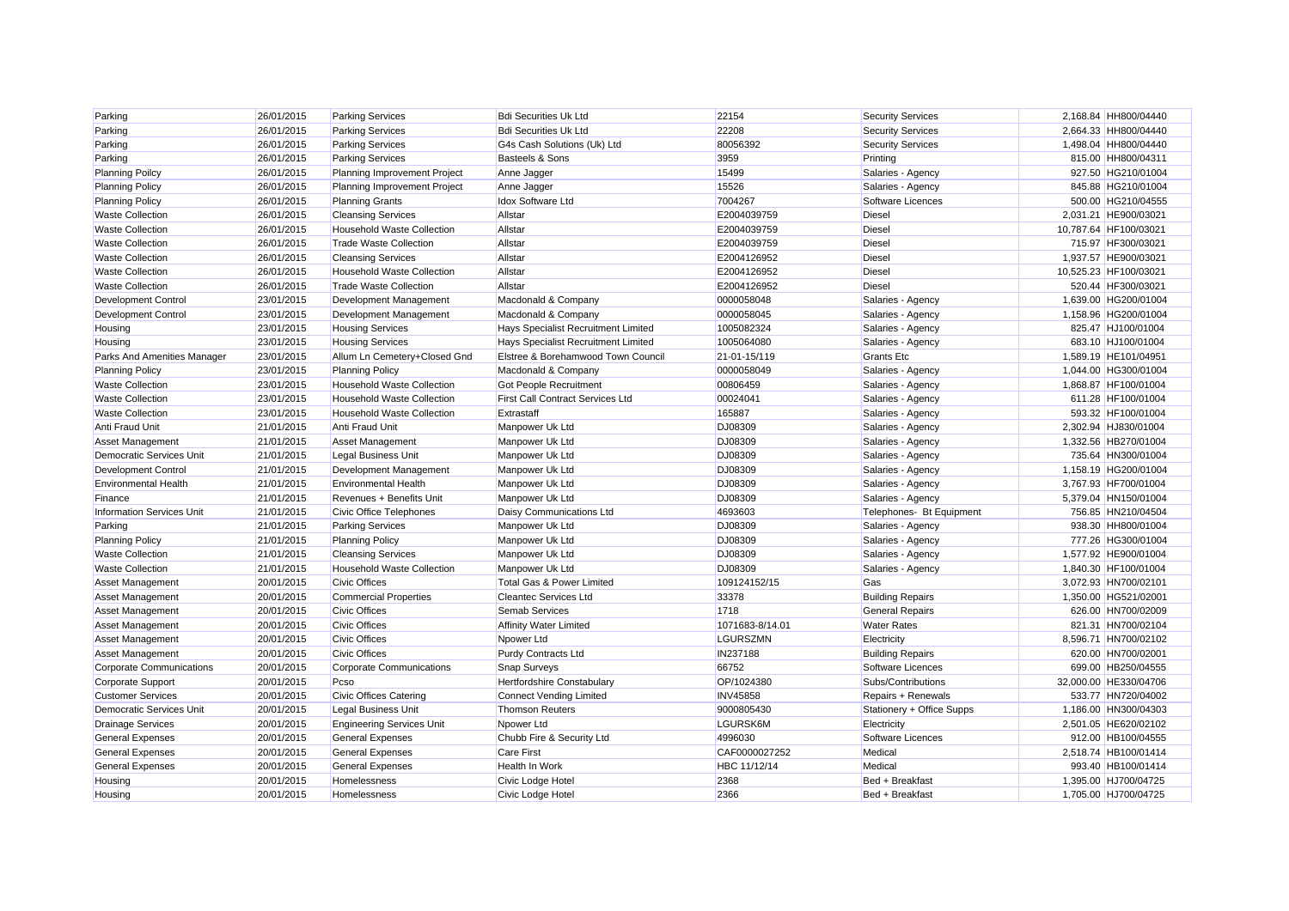| Parking                          | 26/01/2015 | <b>Parking Services</b>           | <b>Bdi Securities Uk Ltd</b>            | 22154           | <b>Security Services</b>  | 2,168.84 HH800/04440  |
|----------------------------------|------------|-----------------------------------|-----------------------------------------|-----------------|---------------------------|-----------------------|
| Parking                          | 26/01/2015 | <b>Parking Services</b>           | <b>Bdi Securities Uk Ltd</b>            | 22208           | <b>Security Services</b>  | 2,664.33 HH800/04440  |
| Parking                          | 26/01/2015 | <b>Parking Services</b>           | G4s Cash Solutions (Uk) Ltd             | 80056392        | <b>Security Services</b>  | 1,498.04 HH800/04440  |
| Parking                          | 26/01/2015 | <b>Parking Services</b>           | <b>Basteels &amp; Sons</b>              | 3959            | Printing                  | 815.00 HH800/04311    |
| <b>Planning Poilcy</b>           | 26/01/2015 | Planning Improvement Project      | Anne Jagger                             | 15499           | Salaries - Agency         | 927.50 HG210/01004    |
| <b>Planning Policy</b>           | 26/01/2015 | Planning Improvement Project      | Anne Jagger                             | 15526           | Salaries - Agency         | 845.88 HG210/01004    |
| <b>Planning Policy</b>           | 26/01/2015 | <b>Planning Grants</b>            | <b>Idox Software Ltd</b>                | 7004267         | Software Licences         | 500.00 HG210/04555    |
| <b>Waste Collection</b>          | 26/01/2015 | <b>Cleansing Services</b>         | Allstar                                 | E2004039759     | <b>Diesel</b>             | 2,031.21 HE900/03021  |
| <b>Waste Collection</b>          | 26/01/2015 | <b>Household Waste Collection</b> | Allstar                                 | E2004039759     | <b>Diesel</b>             | 10,787.64 HF100/03021 |
| <b>Waste Collection</b>          | 26/01/2015 | <b>Trade Waste Collection</b>     | Allstar                                 | E2004039759     | <b>Diesel</b>             | 715.97 HF300/03021    |
| <b>Waste Collection</b>          | 26/01/2015 | <b>Cleansing Services</b>         | Allstar                                 | E2004126952     | <b>Diesel</b>             | 1.937.57 HE900/03021  |
| <b>Waste Collection</b>          | 26/01/2015 | <b>Household Waste Collection</b> | Allstar                                 | E2004126952     | <b>Diesel</b>             | 10,525.23 HF100/03021 |
| <b>Waste Collection</b>          | 26/01/2015 | <b>Trade Waste Collection</b>     | Allstar                                 | E2004126952     | <b>Diesel</b>             | 520.44 HF300/03021    |
| <b>Development Control</b>       | 23/01/2015 | Development Management            | Macdonald & Company                     | 0000058048      | Salaries - Agency         | 1,639.00 HG200/01004  |
| <b>Development Control</b>       | 23/01/2015 | Development Management            | Macdonald & Company                     | 0000058045      | Salaries - Agency         | 1,158.96 HG200/01004  |
| Housing                          | 23/01/2015 | <b>Housing Services</b>           | Hays Specialist Recruitment Limited     | 1005082324      | Salaries - Agency         | 825.47 HJ100/01004    |
| Housing                          | 23/01/2015 | <b>Housing Services</b>           | Hays Specialist Recruitment Limited     | 1005064080      | Salaries - Agency         | 683.10 HJ100/01004    |
| Parks And Amenities Manager      | 23/01/2015 | Allum Ln Cemetery+Closed Gnd      | Elstree & Borehamwood Town Council      | 21-01-15/119    | <b>Grants Etc</b>         | 1,589.19 HE101/04951  |
| <b>Planning Policy</b>           | 23/01/2015 | <b>Planning Policy</b>            | Macdonald & Company                     | 0000058049      | Salaries - Agency         | 1,044.00 HG300/01004  |
| <b>Waste Collection</b>          | 23/01/2015 | <b>Household Waste Collection</b> | Got People Recruitment                  | 00806459        | Salaries - Agency         | 1,868.87 HF100/01004  |
| <b>Waste Collection</b>          | 23/01/2015 | <b>Household Waste Collection</b> | <b>First Call Contract Services Ltd</b> | 00024041        | Salaries - Agency         | 611.28 HF100/01004    |
| <b>Waste Collection</b>          | 23/01/2015 | <b>Household Waste Collection</b> | Extrastaff                              | 165887          | Salaries - Agency         | 593.32 HF100/01004    |
| Anti Fraud Unit                  | 21/01/2015 | <b>Anti Fraud Unit</b>            | Manpower Uk Ltd                         | DJ08309         | Salaries - Agency         | 2,302.94 HJ830/01004  |
| <b>Asset Management</b>          | 21/01/2015 | <b>Asset Management</b>           | Manpower Uk Ltd                         | DJ08309         | Salaries - Agency         | 1,332.56 HB270/01004  |
| Democratic Services Unit         | 21/01/2015 | <b>Legal Business Unit</b>        | Manpower Uk Ltd                         | DJ08309         | Salaries - Agency         | 735.64 HN300/01004    |
| <b>Development Control</b>       | 21/01/2015 | Development Management            | Manpower Uk Ltd                         | DJ08309         | Salaries - Agency         | 1,158.19 HG200/01004  |
| <b>Environmental Health</b>      | 21/01/2015 | <b>Environmental Health</b>       | Manpower Uk Ltd                         | DJ08309         | Salaries - Agency         | 3,767.93 HF700/01004  |
| Finance                          | 21/01/2015 | Revenues + Benefits Unit          | Manpower Uk Ltd                         | DJ08309         | Salaries - Agency         | 5,379.04 HN150/01004  |
| <b>Information Services Unit</b> | 21/01/2015 | <b>Civic Office Telephones</b>    | Daisy Communications Ltd                | 4693603         | Telephones- Bt Equipment  | 756.85 HN210/04504    |
| Parking                          | 21/01/2015 | <b>Parking Services</b>           | Manpower Uk Ltd                         | DJ08309         | Salaries - Agency         | 938.30 HH800/01004    |
| <b>Planning Policy</b>           | 21/01/2015 | <b>Planning Policy</b>            | Manpower Uk Ltd                         | DJ08309         | Salaries - Agency         | 777.26 HG300/01004    |
| <b>Waste Collection</b>          | 21/01/2015 | <b>Cleansing Services</b>         | Manpower Uk Ltd                         | DJ08309         | Salaries - Agency         | 1,577.92 HE900/01004  |
| <b>Waste Collection</b>          | 21/01/2015 | <b>Household Waste Collection</b> | Manpower Uk Ltd                         | DJ08309         | Salaries - Agency         | 1,840.30 HF100/01004  |
| <b>Asset Management</b>          | 20/01/2015 | <b>Civic Offices</b>              | Total Gas & Power Limited               | 109124152/15    | Gas                       | 3,072.93 HN700/02101  |
| Asset Management                 | 20/01/2015 | <b>Commercial Properties</b>      | <b>Cleantec Services Ltd</b>            | 33378           | <b>Building Repairs</b>   | 1,350.00 HG521/02001  |
| Asset Management                 | 20/01/2015 | <b>Civic Offices</b>              | <b>Semab Services</b>                   | 1718            | <b>General Repairs</b>    | 626.00 HN700/02009    |
| Asset Management                 | 20/01/2015 | <b>Civic Offices</b>              | <b>Affinity Water Limited</b>           | 1071683-8/14.01 | <b>Water Rates</b>        | 821.31 HN700/02104    |
| Asset Management                 | 20/01/2015 | <b>Civic Offices</b>              | Npower Ltd                              | <b>LGURSZMN</b> | Electricity               | 8,596.71 HN700/02102  |
| Asset Management                 | 20/01/2015 | <b>Civic Offices</b>              | <b>Purdy Contracts Ltd</b>              | IN237188        | <b>Building Repairs</b>   | 620.00 HN700/02001    |
| Corporate Communications         | 20/01/2015 | <b>Corporate Communications</b>   | <b>Snap Surveys</b>                     | 66752           | Software Licences         | 699.00 HB250/04555    |
| <b>Corporate Support</b>         | 20/01/2015 | Pcso                              | Hertfordshire Constabulary              | OP/1024380      | Subs/Contributions        | 32,000.00 HE330/04706 |
| <b>Customer Services</b>         | 20/01/2015 | <b>Civic Offices Catering</b>     | Connect Vending Limited                 | <b>INV45858</b> | Repairs + Renewals        | 533.77 HN720/04002    |
| Democratic Services Unit         | 20/01/2015 | <b>Legal Business Unit</b>        | <b>Thomson Reuters</b>                  | 9000805430      | Stationery + Office Supps | 1,186.00 HN300/04303  |
| <b>Drainage Services</b>         | 20/01/2015 | <b>Engineering Services Unit</b>  | Npower Ltd                              | LGURSK6M        | Electricity               | 2,501.05 HE620/02102  |
| <b>General Expenses</b>          | 20/01/2015 | <b>General Expenses</b>           | Chubb Fire & Security Ltd               | 4996030         | Software Licences         | 912.00 HB100/04555    |
| <b>General Expenses</b>          | 20/01/2015 | <b>General Expenses</b>           | <b>Care First</b>                       | CAF0000027252   | Medical                   | 2,518.74 HB100/01414  |
| <b>General Expenses</b>          | 20/01/2015 | <b>General Expenses</b>           | <b>Health In Work</b>                   | HBC 11/12/14    | Medical                   | 993.40 HB100/01414    |
| Housing                          | 20/01/2015 | Homelessness                      | Civic Lodge Hotel                       | 2368            | Bed + Breakfast           | 1.395.00 HJ700/04725  |
| Housing                          | 20/01/2015 | <b>Homelessness</b>               | Civic Lodge Hotel                       | 2366            | Bed + Breakfast           | 1.705.00 HJ700/04725  |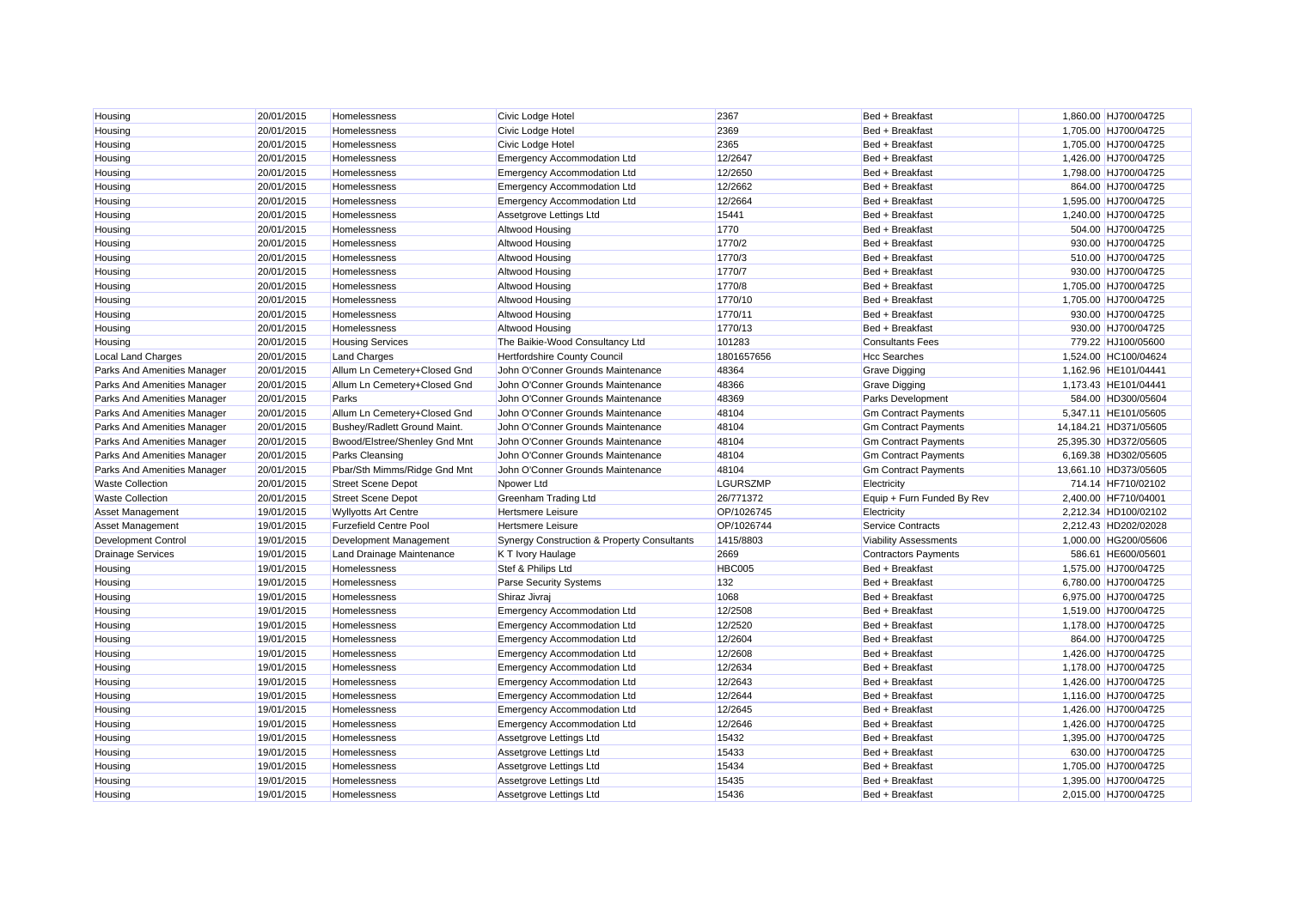| Housing                     | 20/01/2015 | Homelessness                  | Civic Lodge Hotel                                      | 2367            | Bed + Breakfast              | 1,860.00 HJ700/04725  |
|-----------------------------|------------|-------------------------------|--------------------------------------------------------|-----------------|------------------------------|-----------------------|
| Housing                     | 20/01/2015 | Homelessness                  | Civic Lodge Hotel                                      | 2369            | Bed + Breakfast              | 1,705.00 HJ700/04725  |
| Housing                     | 20/01/2015 | Homelessness                  | Civic Lodge Hotel                                      | 2365            | Bed + Breakfast              | 1,705.00 HJ700/04725  |
| Housing                     | 20/01/2015 | Homelessness                  | <b>Emergency Accommodation Ltd</b>                     | 12/2647         | Bed + Breakfast              | 1,426.00 HJ700/04725  |
| Housing                     | 20/01/2015 | Homelessness                  | <b>Emergency Accommodation Ltd</b>                     | 12/2650         | Bed + Breakfast              | 1,798.00 HJ700/04725  |
| Housing                     | 20/01/2015 | Homelessness                  | <b>Emergency Accommodation Ltd</b>                     | 12/2662         | Bed + Breakfast              | 864.00 HJ700/04725    |
| Housing                     | 20/01/2015 | Homelessness                  | <b>Emergency Accommodation Ltd</b>                     | 12/2664         | Bed + Breakfast              | 1.595.00 HJ700/04725  |
| Housing                     | 20/01/2015 | Homelessness                  | Assetgrove Lettings Ltd                                | 15441           | Bed + Breakfast              | 1,240.00 HJ700/04725  |
| Housing                     | 20/01/2015 | Homelessness                  | <b>Altwood Housing</b>                                 | 1770            | Bed + Breakfast              | 504.00 HJ700/04725    |
| Housing                     | 20/01/2015 | Homelessness                  | <b>Altwood Housing</b>                                 | 1770/2          | Bed + Breakfast              | 930.00 HJ700/04725    |
| Housing                     | 20/01/2015 | Homelessness                  | <b>Altwood Housing</b>                                 | 1770/3          | Bed + Breakfast              | 510.00 HJ700/04725    |
| Housing                     | 20/01/2015 | Homelessness                  | <b>Altwood Housing</b>                                 | 1770/7          | Bed + Breakfast              | 930.00 HJ700/04725    |
| Housing                     | 20/01/2015 | Homelessness                  | <b>Altwood Housing</b>                                 | 1770/8          | Bed + Breakfast              | 1,705.00 HJ700/04725  |
| Housing                     | 20/01/2015 | Homelessness                  | <b>Altwood Housing</b>                                 | 1770/10         | Bed + Breakfast              | 1,705.00 HJ700/04725  |
| Housing                     | 20/01/2015 | Homelessness                  | <b>Altwood Housing</b>                                 | 1770/11         | Bed + Breakfast              | 930.00 HJ700/04725    |
| Housing                     | 20/01/2015 | Homelessness                  | Altwood Housing                                        | 1770/13         | Bed + Breakfast              | 930.00 HJ700/04725    |
| Housing                     | 20/01/2015 | <b>Housing Services</b>       | The Baikie-Wood Consultancy Ltd                        | 101283          | <b>Consultants Fees</b>      | 779.22 HJ100/05600    |
| Local Land Charges          | 20/01/2015 | <b>Land Charges</b>           | Hertfordshire County Council                           | 1801657656      | <b>Hcc Searches</b>          | 1,524.00 HC100/04624  |
| Parks And Amenities Manager | 20/01/2015 | Allum Ln Cemetery+Closed Gnd  | John O'Conner Grounds Maintenance                      | 48364           | <b>Grave Digging</b>         | 1,162.96 HE101/04441  |
| Parks And Amenities Manager | 20/01/2015 | Allum Ln Cemetery+Closed Gnd  | John O'Conner Grounds Maintenance                      | 48366           | <b>Grave Digging</b>         | 1,173.43 HE101/04441  |
| Parks And Amenities Manager | 20/01/2015 | Parks                         | John O'Conner Grounds Maintenance                      | 48369           | Parks Development            | 584.00 HD300/05604    |
| Parks And Amenities Manager | 20/01/2015 | Allum Ln Cemetery+Closed Gnd  | John O'Conner Grounds Maintenance                      | 48104           | <b>Gm Contract Payments</b>  | 5,347.11 HE101/05605  |
| Parks And Amenities Manager | 20/01/2015 | Bushey/Radlett Ground Maint.  | John O'Conner Grounds Maintenance                      | 48104           | <b>Gm Contract Payments</b>  | 14,184.21 HD371/05605 |
| Parks And Amenities Manager | 20/01/2015 | Bwood/Elstree/Shenley Gnd Mnt | John O'Conner Grounds Maintenance                      | 48104           | <b>Gm Contract Payments</b>  | 25,395.30 HD372/05605 |
| Parks And Amenities Manager | 20/01/2015 | Parks Cleansing               | John O'Conner Grounds Maintenance                      | 48104           | <b>Gm Contract Payments</b>  | 6,169.38 HD302/05605  |
| Parks And Amenities Manager | 20/01/2015 | Pbar/Sth Mimms/Ridge Gnd Mnt  | John O'Conner Grounds Maintenance                      | 48104           | <b>Gm Contract Payments</b>  | 13,661.10 HD373/05605 |
| <b>Waste Collection</b>     | 20/01/2015 | <b>Street Scene Depot</b>     | Npower Ltd                                             | <b>LGURSZMP</b> | Electricity                  | 714.14 HF710/02102    |
| <b>Waste Collection</b>     | 20/01/2015 | <b>Street Scene Depot</b>     | <b>Greenham Trading Ltd</b>                            | 26/771372       | Equip + Furn Funded By Rev   | 2.400.00 HF710/04001  |
| Asset Management            | 19/01/2015 | <b>Wyllyotts Art Centre</b>   | <b>Hertsmere Leisure</b>                               | OP/1026745      | Electricity                  | 2,212.34 HD100/02102  |
| <b>Asset Management</b>     | 19/01/2015 | <b>Furzefield Centre Pool</b> | <b>Hertsmere Leisure</b>                               | OP/1026744      | Service Contracts            | 2,212.43 HD202/02028  |
| Development Control         | 19/01/2015 | Development Management        | <b>Synergy Construction &amp; Property Consultants</b> | 1415/8803       | <b>Viability Assessments</b> | 1,000.00 HG200/05606  |
| <b>Drainage Services</b>    | 19/01/2015 | Land Drainage Maintenance     | K T Ivory Haulage                                      | 2669            | <b>Contractors Payments</b>  | 586.61 HE600/05601    |
| Housing                     | 19/01/2015 | Homelessness                  | Stef & Philips Ltd                                     | <b>HBC005</b>   | Bed + Breakfast              | 1,575.00 HJ700/04725  |
| Housing                     | 19/01/2015 | Homelessness                  | <b>Parse Security Systems</b>                          | 132             | Bed + Breakfast              | 6,780.00 HJ700/04725  |
| Housing                     | 19/01/2015 | Homelessness                  | Shiraz Jivraj                                          | 1068            | Bed + Breakfast              | 6,975.00 HJ700/04725  |
| Housing                     | 19/01/2015 | Homelessness                  | <b>Emergency Accommodation Ltd</b>                     | 12/2508         | Bed + Breakfast              | 1,519.00 HJ700/04725  |
| Housing                     | 19/01/2015 | Homelessness                  | <b>Emergency Accommodation Ltd</b>                     | 12/2520         | Bed + Breakfast              | 1,178.00 HJ700/04725  |
| Housing                     | 19/01/2015 | Homelessness                  | <b>Emergency Accommodation Ltd</b>                     | 12/2604         | Bed + Breakfast              | 864.00 HJ700/04725    |
| Housing                     | 19/01/2015 | Homelessness                  | <b>Emergency Accommodation Ltd</b>                     | 12/2608         | Bed + Breakfast              | 1,426.00 HJ700/04725  |
| Housing                     | 19/01/2015 | Homelessness                  | <b>Emergency Accommodation Ltd</b>                     | 12/2634         | Bed + Breakfast              | 1,178.00 HJ700/04725  |
| Housing                     | 19/01/2015 | Homelessness                  | <b>Emergency Accommodation Ltd</b>                     | 12/2643         | Bed + Breakfast              | 1,426.00 HJ700/04725  |
| Housing                     | 19/01/2015 | <b>Homelessness</b>           | <b>Emergency Accommodation Ltd</b>                     | 12/2644         | Bed + Breakfast              | 1,116.00 HJ700/04725  |
| Housing                     | 19/01/2015 | Homelessness                  | <b>Emergency Accommodation Ltd</b>                     | 12/2645         | Bed + Breakfast              | 1,426.00 HJ700/04725  |
| Housing                     | 19/01/2015 | Homelessness                  | <b>Emergency Accommodation Ltd</b>                     | 12/2646         | Bed + Breakfast              | 1,426.00 HJ700/04725  |
| Housing                     | 19/01/2015 | <b>Homelessness</b>           | Assetgrove Lettings Ltd                                | 15432           | Bed + Breakfast              | 1,395.00 HJ700/04725  |
| Housing                     | 19/01/2015 | Homelessness                  | Assetgrove Lettings Ltd                                | 15433           | Bed + Breakfast              | 630.00 HJ700/04725    |
|                             | 19/01/2015 | Homelessness                  | Assetgrove Lettings Ltd                                | 15434           | Bed + Breakfast              | 1,705.00 HJ700/04725  |
| Housing<br>Housing          | 19/01/2015 | Homelessness                  |                                                        | 15435           | Bed + Breakfast              | 1,395.00 HJ700/04725  |
|                             | 19/01/2015 |                               | Assetgrove Lettings Ltd                                | 15436           |                              | 2.015.00 HJ700/04725  |
| Housing                     |            | Homelessness                  | Assetgrove Lettings Ltd                                |                 | Bed + Breakfast              |                       |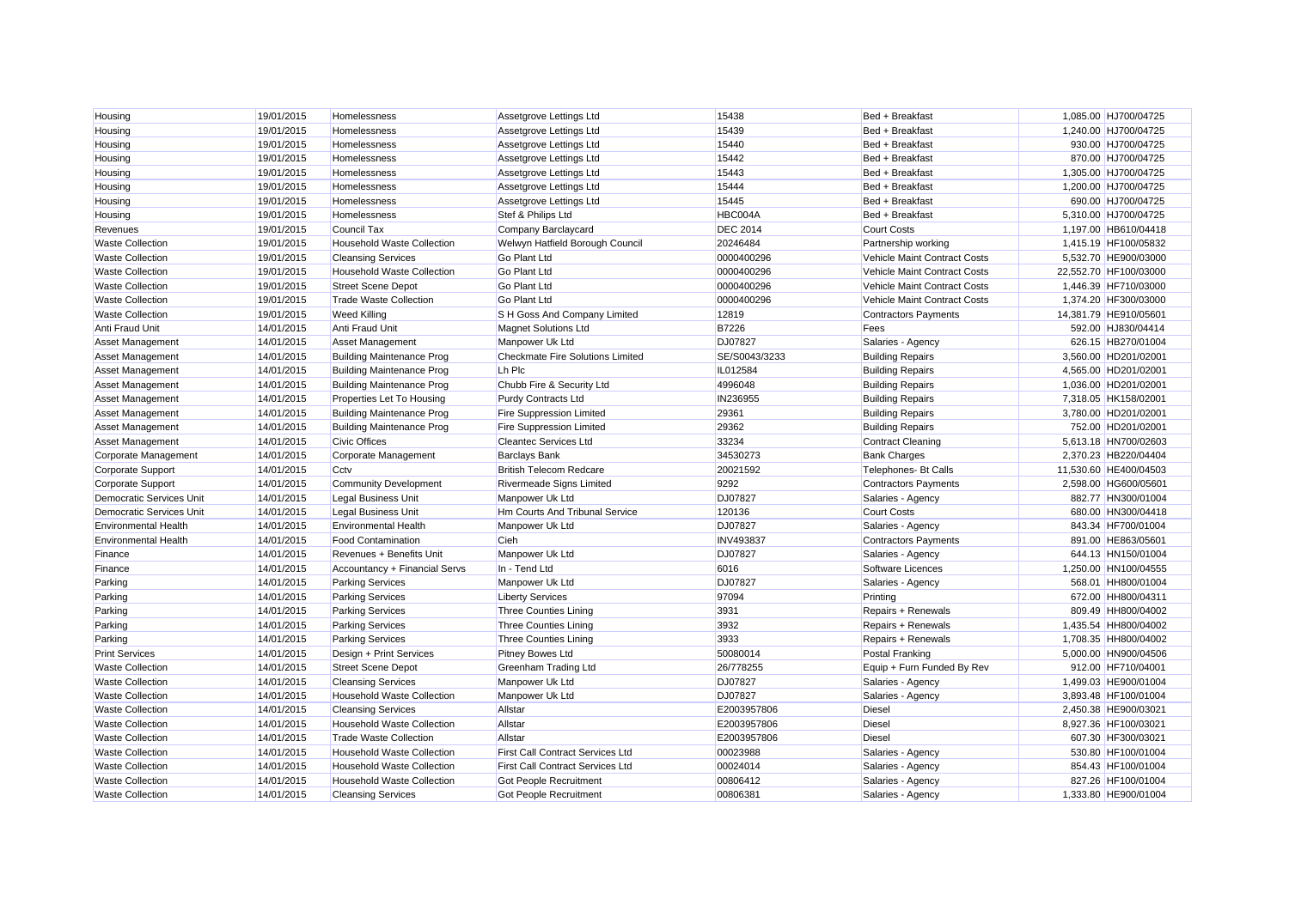| Housing                         | 19/01/2015 | Homelessness                      | Assetgrove Lettings Ltd                 | 15438            | Bed + Breakfast              | 1,085.00 HJ700/04725  |
|---------------------------------|------------|-----------------------------------|-----------------------------------------|------------------|------------------------------|-----------------------|
| Housing                         | 19/01/2015 | Homelessness                      | Assetgrove Lettings Ltd                 | 15439            | Bed + Breakfast              | 1,240.00 HJ700/04725  |
| Housing                         | 19/01/2015 | Homelessness                      | Assetgrove Lettings Ltd                 | 15440            | Bed + Breakfast              | 930.00 HJ700/04725    |
| Housing                         | 19/01/2015 | Homelessness                      | Assetgrove Lettings Ltd                 | 15442            | Bed + Breakfast              | 870.00 HJ700/04725    |
| Housing                         | 19/01/2015 | Homelessness                      | Assetgrove Lettings Ltd                 | 15443            | Bed + Breakfast              | 1,305.00 HJ700/04725  |
| Housing                         | 19/01/2015 | <b>Homelessness</b>               | Assetgrove Lettings Ltd                 | 15444            | Bed + Breakfast              | 1,200.00 HJ700/04725  |
| Housing                         | 19/01/2015 | Homelessness                      | Assetgrove Lettings Ltd                 | 15445            | Bed + Breakfast              | 690.00 HJ700/04725    |
| Housing                         | 19/01/2015 | Homelessness                      | Stef & Philips Ltd                      | HBC004A          | Bed + Breakfast              | 5,310.00 HJ700/04725  |
| Revenues                        | 19/01/2015 | <b>Council Tax</b>                | Company Barclaycard                     | <b>DEC 2014</b>  | <b>Court Costs</b>           | 1,197.00 HB610/04418  |
| <b>Waste Collection</b>         | 19/01/2015 | <b>Household Waste Collection</b> | Welwyn Hatfield Borough Council         | 20246484         | Partnership working          | 1,415.19 HF100/05832  |
| <b>Waste Collection</b>         | 19/01/2015 | <b>Cleansing Services</b>         | <b>Go Plant Ltd</b>                     | 0000400296       | Vehicle Maint Contract Costs | 5,532.70 HE900/03000  |
| <b>Waste Collection</b>         | 19/01/2015 | <b>Household Waste Collection</b> | Go Plant Ltd                            | 0000400296       | Vehicle Maint Contract Costs | 22,552.70 HF100/03000 |
| <b>Waste Collection</b>         | 19/01/2015 | <b>Street Scene Depot</b>         | <b>Go Plant Ltd</b>                     | 0000400296       | Vehicle Maint Contract Costs | 1,446.39 HF710/03000  |
| <b>Waste Collection</b>         | 19/01/2015 | <b>Trade Waste Collection</b>     | <b>Go Plant Ltd</b>                     | 0000400296       | Vehicle Maint Contract Costs | 1,374.20 HF300/03000  |
| <b>Waste Collection</b>         | 19/01/2015 | <b>Weed Killing</b>               | S H Goss And Company Limited            | 12819            | <b>Contractors Payments</b>  | 14,381.79 HE910/05601 |
| Anti Fraud Unit                 | 14/01/2015 | <b>Anti Fraud Unit</b>            | <b>Magnet Solutions Ltd</b>             | <b>B7226</b>     | Fees                         | 592.00 HJ830/04414    |
| Asset Management                | 14/01/2015 | <b>Asset Management</b>           | Manpower Uk Ltd                         | <b>DJ07827</b>   | Salaries - Agency            | 626.15 HB270/01004    |
| Asset Management                | 14/01/2015 | <b>Building Maintenance Prog</b>  | <b>Checkmate Fire Solutions Limited</b> | SE/S0043/3233    | <b>Building Repairs</b>      | 3,560.00 HD201/02001  |
| Asset Management                | 14/01/2015 | <b>Building Maintenance Prog</b>  | Lh Plc                                  | IL012584         | <b>Building Repairs</b>      | 4,565.00 HD201/02001  |
| Asset Management                | 14/01/2015 | <b>Building Maintenance Prog</b>  | Chubb Fire & Security Ltd               | 4996048          | <b>Building Repairs</b>      | 1,036.00 HD201/02001  |
| Asset Management                | 14/01/2015 | Properties Let To Housing         | <b>Purdy Contracts Ltd</b>              | IN236955         | <b>Building Repairs</b>      | 7,318.05 HK158/02001  |
| Asset Management                | 14/01/2015 | <b>Building Maintenance Prog</b>  | <b>Fire Suppression Limited</b>         | 29361            | <b>Building Repairs</b>      | 3,780.00 HD201/02001  |
| Asset Management                | 14/01/2015 | <b>Building Maintenance Prog</b>  | <b>Fire Suppression Limited</b>         | 29362            | <b>Building Repairs</b>      | 752.00 HD201/02001    |
| Asset Management                | 14/01/2015 | <b>Civic Offices</b>              | <b>Cleantec Services Ltd</b>            | 33234            | <b>Contract Cleaning</b>     | 5,613.18 HN700/02603  |
| Corporate Management            | 14/01/2015 | Corporate Management              | <b>Barclays Bank</b>                    | 34530273         | <b>Bank Charges</b>          | 2,370.23 HB220/04404  |
| Corporate Support               | 14/01/2015 | Cctv                              | <b>British Telecom Redcare</b>          | 20021592         | <b>Telephones- Bt Calls</b>  | 11,530.60 HE400/04503 |
| <b>Corporate Support</b>        | 14/01/2015 | <b>Community Development</b>      | Rivermeade Signs Limited                | 9292             | <b>Contractors Payments</b>  | 2,598.00 HG600/05601  |
| <b>Democratic Services Unit</b> | 14/01/2015 | <b>Legal Business Unit</b>        | Manpower Uk Ltd                         | <b>DJ07827</b>   | Salaries - Agency            | 882.77 HN300/01004    |
| <b>Democratic Services Unit</b> | 14/01/2015 | <b>Legal Business Unit</b>        | Hm Courts And Tribunal Service          | 120136           | <b>Court Costs</b>           | 680.00 HN300/04418    |
| <b>Environmental Health</b>     | 14/01/2015 | <b>Environmental Health</b>       | Manpower Uk Ltd                         | DJ07827          | Salaries - Agency            | 843.34 HF700/01004    |
| <b>Environmental Health</b>     | 14/01/2015 | <b>Food Contamination</b>         | Cieh                                    | <b>INV493837</b> | <b>Contractors Payments</b>  | 891.00 HE863/05601    |
| Finance                         | 14/01/2015 | Revenues + Benefits Unit          | Manpower Uk Ltd                         | DJ07827          | Salaries - Agency            | 644.13 HN150/01004    |
| Finance                         | 14/01/2015 | Accountancy + Financial Servs     | In - Tend Ltd                           | 6016             | Software Licences            | 1,250.00 HN100/04555  |
| Parking                         | 14/01/2015 | <b>Parking Services</b>           | Manpower Uk Ltd                         | DJ07827          | Salaries - Agency            | 568.01 HH800/01004    |
| Parking                         | 14/01/2015 | <b>Parking Services</b>           | <b>Liberty Services</b>                 | 97094            | Printing                     | 672.00 HH800/04311    |
| Parking                         | 14/01/2015 | <b>Parking Services</b>           | <b>Three Counties Lining</b>            | 3931             | Repairs + Renewals           | 809.49 HH800/04002    |
| Parking                         | 14/01/2015 | <b>Parking Services</b>           | <b>Three Counties Lining</b>            | 3932             | Repairs + Renewals           | 1,435.54 HH800/04002  |
| Parking                         | 14/01/2015 | <b>Parking Services</b>           | <b>Three Counties Lining</b>            | 3933             | Repairs + Renewals           | 1,708.35 HH800/04002  |
| <b>Print Services</b>           | 14/01/2015 | Design + Print Services           | <b>Pitney Bowes Ltd</b>                 | 50080014         | Postal Franking              | 5.000.00 HN900/04506  |
| <b>Waste Collection</b>         | 14/01/2015 | <b>Street Scene Depot</b>         | <b>Greenham Trading Ltd</b>             | 26/778255        | Equip + Furn Funded By Rev   | 912.00 HF710/04001    |
| <b>Waste Collection</b>         | 14/01/2015 | <b>Cleansing Services</b>         | Manpower Uk Ltd                         | DJ07827          | Salaries - Agency            | 1,499.03 HE900/01004  |
| <b>Waste Collection</b>         | 14/01/2015 | <b>Household Waste Collection</b> | Manpower Uk Ltd                         | DJ07827          | Salaries - Agency            | 3.893.48 HF100/01004  |
| <b>Waste Collection</b>         | 14/01/2015 | <b>Cleansing Services</b>         | Allstar                                 | E2003957806      | <b>Diesel</b>                | 2,450.38 HE900/03021  |
| <b>Waste Collection</b>         | 14/01/2015 | <b>Household Waste Collection</b> | Allstar                                 | E2003957806      | <b>Diesel</b>                | 8,927.36 HF100/03021  |
| <b>Waste Collection</b>         | 14/01/2015 | <b>Trade Waste Collection</b>     | Allstar                                 | E2003957806      | <b>Diesel</b>                | 607.30 HF300/03021    |
| <b>Waste Collection</b>         | 14/01/2015 | <b>Household Waste Collection</b> | <b>First Call Contract Services Ltd</b> | 00023988         | Salaries - Agency            | 530.80 HF100/01004    |
| <b>Waste Collection</b>         | 14/01/2015 | <b>Household Waste Collection</b> | <b>First Call Contract Services Ltd</b> | 00024014         | Salaries - Agency            | 854.43 HF100/01004    |
| <b>Waste Collection</b>         | 14/01/2015 | <b>Household Waste Collection</b> | <b>Got People Recruitment</b>           | 00806412         | Salaries - Agency            | 827.26 HF100/01004    |
| <b>Waste Collection</b>         | 14/01/2015 | <b>Cleansing Services</b>         | <b>Got People Recruitment</b>           | 00806381         | Salaries - Agency            | 1.333.80 HE900/01004  |
|                                 |            |                                   |                                         |                  |                              |                       |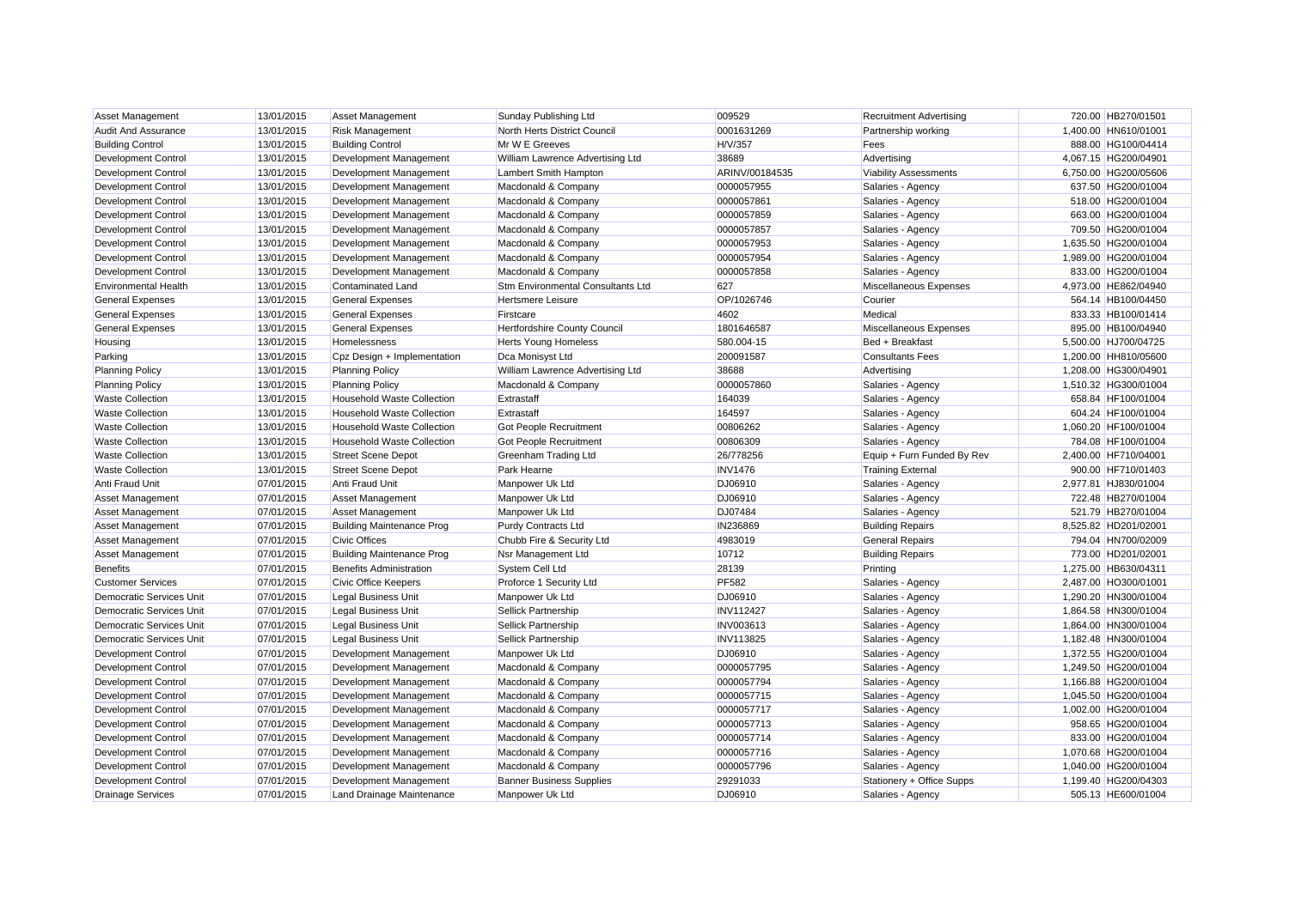| Asset Management                | 13/01/2015 | <b>Asset Management</b>           | Sunday Publishing Ltd             | 009529           | <b>Recruitment Advertising</b> | 720.00 HB270/01501   |
|---------------------------------|------------|-----------------------------------|-----------------------------------|------------------|--------------------------------|----------------------|
| <b>Audit And Assurance</b>      | 13/01/2015 | <b>Risk Management</b>            | North Herts District Council      | 0001631269       | Partnership working            | 1,400.00 HN610/01001 |
| <b>Building Control</b>         | 13/01/2015 | <b>Building Control</b>           | Mr W E Greeves                    | H/V/357          | Fees                           | 888.00 HG100/04414   |
| Development Control             | 13/01/2015 | Development Management            | William Lawrence Advertising Ltd  | 38689            | Advertising                    | 4,067.15 HG200/04901 |
| Development Control             | 13/01/2015 | Development Management            | Lambert Smith Hampton             | ARINV/00184535   | <b>Viability Assessments</b>   | 6,750.00 HG200/05606 |
| <b>Development Control</b>      | 13/01/2015 | Development Management            | Macdonald & Company               | 0000057955       | Salaries - Agency              | 637.50 HG200/01004   |
| Development Control             | 13/01/2015 | Development Management            | Macdonald & Company               | 0000057861       | Salaries - Agency              | 518.00 HG200/01004   |
| <b>Development Control</b>      | 13/01/2015 | Development Management            | Macdonald & Company               | 0000057859       | Salaries - Agency              | 663.00 HG200/01004   |
| Development Control             | 13/01/2015 | Development Management            | Macdonald & Company               | 0000057857       | Salaries - Agency              | 709.50 HG200/01004   |
| <b>Development Control</b>      | 13/01/2015 | Development Management            | Macdonald & Company               | 0000057953       | Salaries - Agency              | 1,635.50 HG200/01004 |
| Development Control             | 13/01/2015 | Development Management            | Macdonald & Company               | 0000057954       | Salaries - Agency              | 1,989.00 HG200/01004 |
| <b>Development Control</b>      | 13/01/2015 | Development Management            | Macdonald & Company               | 0000057858       | Salaries - Agency              | 833.00 HG200/01004   |
| <b>Environmental Health</b>     | 13/01/2015 | <b>Contaminated Land</b>          | Stm Environmental Consultants Ltd | 627              | Miscellaneous Expenses         | 4,973.00 HE862/04940 |
| <b>General Expenses</b>         | 13/01/2015 | <b>General Expenses</b>           | <b>Hertsmere Leisure</b>          | OP/1026746       | Courier                        | 564.14 HB100/04450   |
| <b>General Expenses</b>         | 13/01/2015 | <b>General Expenses</b>           | Firstcare                         | 4602             | Medical                        | 833.33 HB100/01414   |
| <b>General Expenses</b>         | 13/01/2015 | <b>General Expenses</b>           | Hertfordshire County Council      | 1801646587       | Miscellaneous Expenses         | 895.00 HB100/04940   |
| Housing                         | 13/01/2015 | Homelessness                      | <b>Herts Young Homeless</b>       | 580.004-15       | Bed + Breakfast                | 5,500.00 HJ700/04725 |
| Parking                         | 13/01/2015 | Cpz Design + Implementation       | Dca Monisyst Ltd                  | 200091587        | <b>Consultants Fees</b>        | 1,200.00 HH810/05600 |
| <b>Planning Policy</b>          | 13/01/2015 | <b>Planning Policy</b>            | William Lawrence Advertising Ltd  | 38688            | Advertising                    | 1,208.00 HG300/04901 |
| <b>Planning Policy</b>          | 13/01/2015 | <b>Planning Policy</b>            | Macdonald & Company               | 0000057860       | Salaries - Agency              | 1,510.32 HG300/01004 |
| <b>Waste Collection</b>         | 13/01/2015 | Household Waste Collection        | Extrastaff                        | 164039           | Salaries - Agency              | 658.84 HF100/01004   |
| <b>Waste Collection</b>         | 13/01/2015 | <b>Household Waste Collection</b> | Extrastaff                        | 164597           | Salaries - Agency              | 604.24 HF100/01004   |
| <b>Waste Collection</b>         | 13/01/2015 | <b>Household Waste Collection</b> | Got People Recruitment            | 00806262         | Salaries - Agency              | 1,060.20 HF100/01004 |
| <b>Waste Collection</b>         | 13/01/2015 | <b>Household Waste Collection</b> | <b>Got People Recruitment</b>     | 00806309         | Salaries - Agency              | 784.08 HF100/01004   |
| <b>Waste Collection</b>         | 13/01/2015 | <b>Street Scene Depot</b>         | <b>Greenham Trading Ltd</b>       | 26/778256        | Equip + Furn Funded By Rev     | 2,400.00 HF710/04001 |
| <b>Waste Collection</b>         | 13/01/2015 | <b>Street Scene Depot</b>         | Park Hearne                       | <b>INV1476</b>   | <b>Training External</b>       | 900.00 HF710/01403   |
| Anti Fraud Unit                 | 07/01/2015 | Anti Fraud Unit                   | Manpower Uk Ltd                   | DJ06910          | Salaries - Agency              | 2,977.81 HJ830/01004 |
| Asset Management                | 07/01/2015 | <b>Asset Management</b>           | Manpower Uk Ltd                   | DJ06910          | Salaries - Agency              | 722.48 HB270/01004   |
| Asset Management                | 07/01/2015 | <b>Asset Management</b>           | Manpower Uk Ltd                   | DJ07484          | Salaries - Agency              | 521.79 HB270/01004   |
| <b>Asset Management</b>         | 07/01/2015 | <b>Building Maintenance Prog</b>  | <b>Purdy Contracts Ltd</b>        | IN236869         | <b>Building Repairs</b>        | 8,525.82 HD201/02001 |
| Asset Management                | 07/01/2015 | <b>Civic Offices</b>              | Chubb Fire & Security Ltd         | 4983019          | <b>General Repairs</b>         | 794.04 HN700/02009   |
| Asset Management                | 07/01/2015 | <b>Building Maintenance Prog</b>  | Nsr Management Ltd                | 10712            | <b>Building Repairs</b>        | 773.00 HD201/02001   |
| <b>Benefits</b>                 | 07/01/2015 | <b>Benefits Administration</b>    | <b>System Cell Ltd</b>            | 28139            | Printing                       | 1,275.00 HB630/04311 |
| <b>Customer Services</b>        | 07/01/2015 | Civic Office Keepers              | Proforce 1 Security Ltd           | PF582            | Salaries - Agency              | 2,487.00 HO300/01001 |
| <b>Democratic Services Unit</b> | 07/01/2015 | <b>Legal Business Unit</b>        | Manpower Uk Ltd                   | DJ06910          | Salaries - Agency              | 1,290.20 HN300/01004 |
| <b>Democratic Services Unit</b> | 07/01/2015 | <b>Legal Business Unit</b>        | Sellick Partnership               | <b>INV112427</b> | Salaries - Agency              | 1,864.58 HN300/01004 |
| Democratic Services Unit        | 07/01/2015 | <b>Legal Business Unit</b>        | Sellick Partnership               | INV003613        | Salaries - Agency              | 1,864.00 HN300/01004 |
| <b>Democratic Services Unit</b> | 07/01/2015 | <b>Legal Business Unit</b>        | <b>Sellick Partnership</b>        | <b>INV113825</b> | Salaries - Agency              | 1,182.48 HN300/01004 |
| Development Control             | 07/01/2015 | Development Management            | Manpower Uk Ltd                   | DJ06910          | Salaries - Agency              | 1,372.55 HG200/01004 |
| <b>Development Control</b>      | 07/01/2015 | Development Management            | Macdonald & Company               | 0000057795       | Salaries - Agency              | 1,249.50 HG200/01004 |
| Development Control             | 07/01/2015 | Development Management            | Macdonald & Company               | 0000057794       | Salaries - Agency              | 1,166.88 HG200/01004 |
| <b>Development Control</b>      | 07/01/2015 | Development Management            | Macdonald & Company               | 0000057715       | Salaries - Agency              | 1.045.50 HG200/01004 |
| <b>Development Control</b>      | 07/01/2015 | Development Management            | Macdonald & Company               | 0000057717       | Salaries - Agency              | 1,002.00 HG200/01004 |
| Development Control             | 07/01/2015 | Development Management            | Macdonald & Company               | 0000057713       | Salaries - Agency              | 958.65 HG200/01004   |
| <b>Development Control</b>      | 07/01/2015 | Development Management            | Macdonald & Company               | 0000057714       | Salaries - Agency              | 833.00 HG200/01004   |
| <b>Development Control</b>      | 07/01/2015 | Development Management            | Macdonald & Company               | 0000057716       | Salaries - Agency              | 1,070.68 HG200/01004 |
| <b>Development Control</b>      | 07/01/2015 | Development Management            | Macdonald & Company               | 0000057796       | Salaries - Agency              | 1,040.00 HG200/01004 |
| <b>Development Control</b>      | 07/01/2015 | Development Management            | <b>Banner Business Supplies</b>   | 29291033         | Stationery + Office Supps      | 1,199.40 HG200/04303 |
| <b>Drainage Services</b>        | 07/01/2015 | Land Drainage Maintenance         | Manpower Uk Ltd                   | DJ06910          | Salaries - Agency              | 505.13 HE600/01004   |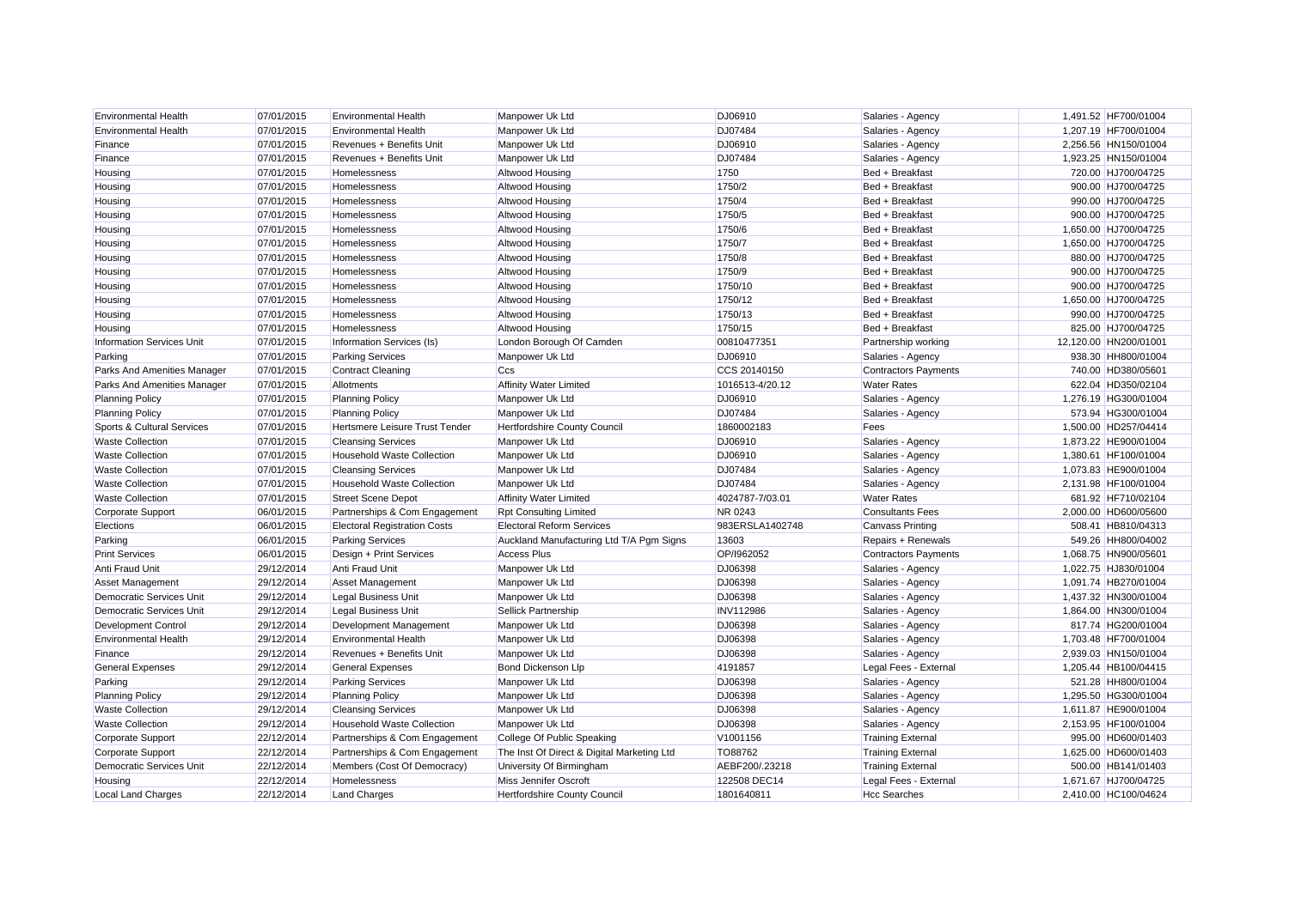| <b>Environmental Health</b>      | 07/01/2015 | <b>Environmental Health</b>         | Manpower Uk Ltd                            | DJ06910          | Salaries - Agency           | 1,491.52 HF700/01004  |                    |
|----------------------------------|------------|-------------------------------------|--------------------------------------------|------------------|-----------------------------|-----------------------|--------------------|
| <b>Environmental Health</b>      | 07/01/2015 | <b>Environmental Health</b>         | Manpower Uk Ltd                            | DJ07484          | Salaries - Agency           | 1,207.19 HF700/01004  |                    |
| Finance                          | 07/01/2015 | Revenues + Benefits Unit            | Manpower Uk Ltd                            | DJ06910          | Salaries - Agency           | 2,256.56 HN150/01004  |                    |
| Finance                          | 07/01/2015 | Revenues + Benefits Unit            | Manpower Uk Ltd                            | DJ07484          | Salaries - Agency           | 1,923.25 HN150/01004  |                    |
| Housing                          | 07/01/2015 | Homelessness                        | Altwood Housing                            | 1750             | Bed + Breakfast             |                       | 720.00 HJ700/04725 |
| Housing                          | 07/01/2015 | Homelessness                        | Altwood Housing                            | 1750/2           | Bed + Breakfast             |                       | 900.00 HJ700/04725 |
| Housing                          | 07/01/2015 | Homelessness                        | Altwood Housing                            | 1750/4           | Bed + Breakfast             |                       | 990.00 HJ700/04725 |
| Housing                          | 07/01/2015 | Homelessness                        | Altwood Housing                            | 1750/5           | Bed + Breakfast             |                       | 900.00 HJ700/04725 |
| Housing                          | 07/01/2015 | Homelessness                        | Altwood Housing                            | 1750/6           | Bed + Breakfast             | 1,650.00 HJ700/04725  |                    |
| Housing                          | 07/01/2015 | <b>Homelessness</b>                 | Altwood Housing                            | 1750/7           | Bed + Breakfast             | 1,650.00 HJ700/04725  |                    |
| Housing                          | 07/01/2015 | Homelessness                        | <b>Altwood Housing</b>                     | 1750/8           | Bed + Breakfast             |                       | 880.00 HJ700/04725 |
| Housing                          | 07/01/2015 | Homelessness                        | Altwood Housing                            | 1750/9           | Bed + Breakfast             |                       | 900.00 HJ700/04725 |
| Housing                          | 07/01/2015 | Homelessness                        | Altwood Housing                            | 1750/10          | Bed + Breakfast             |                       | 900.00 HJ700/04725 |
| Housing                          | 07/01/2015 | Homelessness                        | Altwood Housing                            | 1750/12          | Bed + Breakfast             | 1,650.00 HJ700/04725  |                    |
| Housing                          | 07/01/2015 | Homelessness                        | Altwood Housing                            | 1750/13          | Bed + Breakfast             |                       | 990.00 HJ700/04725 |
| Housing                          | 07/01/2015 | Homelessness                        | Altwood Housing                            | 1750/15          | Bed + Breakfast             |                       | 825.00 HJ700/04725 |
| <b>Information Services Unit</b> | 07/01/2015 | Information Services (Is)           | London Borough Of Camden                   | 00810477351      | Partnership working         | 12,120.00 HN200/01001 |                    |
| Parking                          | 07/01/2015 | <b>Parking Services</b>             | Manpower Uk Ltd                            | DJ06910          | Salaries - Agency           |                       | 938.30 HH800/01004 |
| Parks And Amenities Manager      | 07/01/2015 | <b>Contract Cleaning</b>            | Ccs                                        | CCS 20140150     | <b>Contractors Payments</b> |                       | 740.00 HD380/05601 |
| Parks And Amenities Manager      | 07/01/2015 | Allotments                          | <b>Affinity Water Limited</b>              | 1016513-4/20.12  | <b>Water Rates</b>          |                       | 622.04 HD350/02104 |
| <b>Planning Policy</b>           | 07/01/2015 | <b>Planning Policy</b>              | Manpower Uk Ltd                            | DJ06910          | Salaries - Agency           | 1,276.19 HG300/01004  |                    |
| <b>Planning Policy</b>           | 07/01/2015 | <b>Planning Policy</b>              | Manpower Uk Ltd                            | DJ07484          | Salaries - Agency           |                       | 573.94 HG300/01004 |
| Sports & Cultural Services       | 07/01/2015 | Hertsmere Leisure Trust Tender      | Hertfordshire County Council               | 1860002183       | Fees                        | 1,500.00 HD257/04414  |                    |
| <b>Waste Collection</b>          | 07/01/2015 | <b>Cleansing Services</b>           | Manpower Uk Ltd                            | DJ06910          | Salaries - Agency           | 1,873.22 HE900/01004  |                    |
| <b>Waste Collection</b>          | 07/01/2015 | <b>Household Waste Collection</b>   | Manpower Uk Ltd                            | DJ06910          | Salaries - Agency           | 1,380.61 HF100/01004  |                    |
| <b>Waste Collection</b>          | 07/01/2015 | <b>Cleansing Services</b>           | Manpower Uk Ltd                            | DJ07484          | Salaries - Agency           | 1,073.83 HE900/01004  |                    |
| <b>Waste Collection</b>          | 07/01/2015 | <b>Household Waste Collection</b>   | Manpower Uk Ltd                            | DJ07484          | Salaries - Agency           | 2,131.98 HF100/01004  |                    |
| <b>Waste Collection</b>          | 07/01/2015 | <b>Street Scene Depot</b>           | <b>Affinity Water Limited</b>              | 4024787-7/03.01  | <b>Water Rates</b>          |                       | 681.92 HF710/02104 |
| Corporate Support                | 06/01/2015 | Partnerships & Com Engagement       | <b>Rpt Consulting Limited</b>              | NR 0243          | <b>Consultants Fees</b>     | 2,000.00 HD600/05600  |                    |
| Elections                        | 06/01/2015 | <b>Electoral Registration Costs</b> | <b>Electoral Reform Services</b>           | 983ERSLA1402748  | <b>Canvass Printing</b>     |                       | 508.41 HB810/04313 |
| Parking                          | 06/01/2015 | <b>Parking Services</b>             | Auckland Manufacturing Ltd T/A Pgm Signs   | 13603            | Repairs + Renewals          |                       | 549.26 HH800/04002 |
| <b>Print Services</b>            | 06/01/2015 | Design + Print Services             | <b>Access Plus</b>                         | OP/1962052       | <b>Contractors Payments</b> | 1,068.75 HN900/05601  |                    |
| Anti Fraud Unit                  | 29/12/2014 | Anti Fraud Unit                     | Manpower Uk Ltd                            | DJ06398          | Salaries - Agency           | 1,022.75 HJ830/01004  |                    |
| <b>Asset Management</b>          | 29/12/2014 | <b>Asset Management</b>             | Manpower Uk Ltd                            | DJ06398          | Salaries - Agency           | 1,091.74 HB270/01004  |                    |
| <b>Democratic Services Unit</b>  | 29/12/2014 | Legal Business Unit                 | Manpower Uk Ltd                            | DJ06398          | Salaries - Agency           | 1,437.32 HN300/01004  |                    |
| <b>Democratic Services Unit</b>  | 29/12/2014 | <b>Legal Business Unit</b>          | Sellick Partnership                        | <b>INV112986</b> | Salaries - Agency           | 1,864.00 HN300/01004  |                    |
| Development Control              | 29/12/2014 | Development Management              | Manpower Uk Ltd                            | DJ06398          | Salaries - Agency           |                       | 817.74 HG200/01004 |
| <b>Environmental Health</b>      | 29/12/2014 | <b>Environmental Health</b>         | Manpower Uk Ltd                            | DJ06398          | Salaries - Agency           | 1,703.48 HF700/01004  |                    |
| Finance                          | 29/12/2014 | Revenues + Benefits Unit            | Manpower Uk Ltd                            | DJ06398          | Salaries - Agency           | 2,939.03 HN150/01004  |                    |
| <b>General Expenses</b>          | 29/12/2014 | <b>General Expenses</b>             | Bond Dickenson Llp                         | 4191857          | Legal Fees - External       | 1,205.44 HB100/04415  |                    |
| Parking                          | 29/12/2014 | <b>Parking Services</b>             | Manpower Uk Ltd                            | DJ06398          | Salaries - Agency           |                       | 521.28 HH800/01004 |
| <b>Planning Policy</b>           | 29/12/2014 | <b>Planning Policy</b>              | Manpower Uk Ltd                            | DJ06398          | Salaries - Agency           | 1.295.50 HG300/01004  |                    |
| <b>Waste Collection</b>          | 29/12/2014 | <b>Cleansing Services</b>           | Manpower Uk Ltd                            | DJ06398          | Salaries - Agency           | 1,611.87 HE900/01004  |                    |
| <b>Waste Collection</b>          | 29/12/2014 | <b>Household Waste Collection</b>   | Manpower Uk Ltd                            | DJ06398          | Salaries - Agency           | 2,153.95 HF100/01004  |                    |
| Corporate Support                | 22/12/2014 | Partnerships & Com Engagement       | College Of Public Speaking                 | V1001156         | <b>Training External</b>    |                       | 995.00 HD600/01403 |
| Corporate Support                | 22/12/2014 | Partnerships & Com Engagement       | The Inst Of Direct & Digital Marketing Ltd | TO88762          | <b>Training External</b>    | 1,625.00 HD600/01403  |                    |
| Democratic Services Unit         | 22/12/2014 | Members (Cost Of Democracy)         | University Of Birmingham                   | AEBF200/.23218   | <b>Training External</b>    |                       | 500.00 HB141/01403 |
| Housing                          | 22/12/2014 | Homelessness                        | <b>Miss Jennifer Oscroft</b>               | 122508 DEC14     | Legal Fees - External       | 1.671.67 HJ700/04725  |                    |
| <b>Local Land Charges</b>        | 22/12/2014 | <b>Land Charges</b>                 | <b>Hertfordshire County Council</b>        | 1801640811       | <b>Hcc Searches</b>         | 2.410.00 HC100/04624  |                    |
|                                  |            |                                     |                                            |                  |                             |                       |                    |